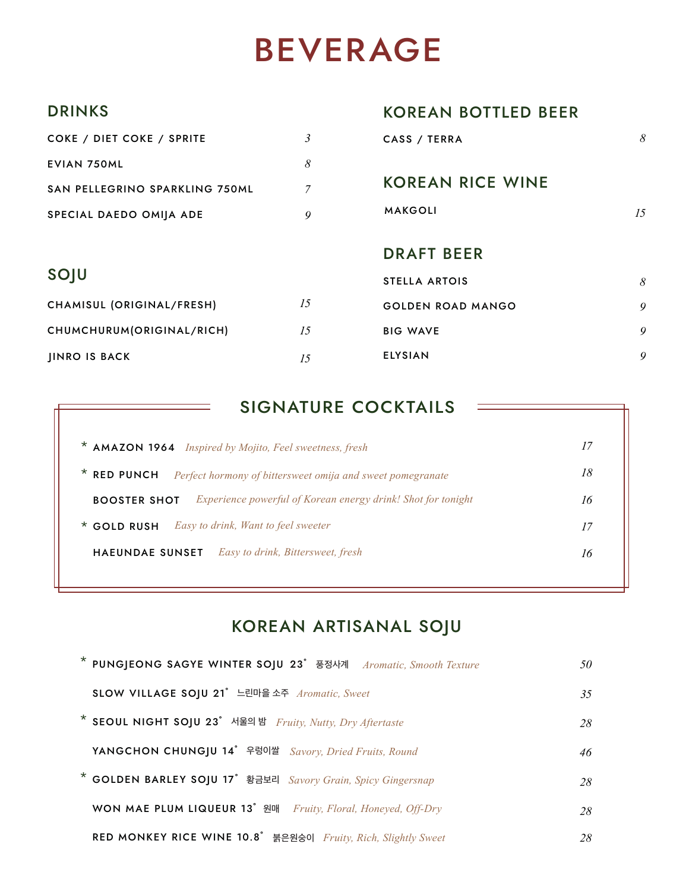## BEVERAGE

#### DRINKS

| <b>DRINKS</b>                         |                | <b>KOREAN BOTTLED BEER</b> |    |
|---------------------------------------|----------------|----------------------------|----|
| COKE / DIET COKE / SPRITE             | 3              | CASS / TERRA               | 8  |
| <b>EVIAN 750ML</b>                    | 8              |                            |    |
| <b>SAN PELLEGRINO SPARKLING 750ML</b> | $\overline{7}$ | <b>KOREAN RICE WINE</b>    |    |
| SPECIAL DAEDO OMIJA ADE               | 9              | <b>MAKGOLI</b>             | 15 |
|                                       |                | <b>DRAFT BEER</b>          |    |
| SOJU                                  |                | <b>STELLA ARTOIS</b>       | 8  |
| CHAMISUL (ORIGINAL/FRESH)             | 15             | <b>GOLDEN ROAD MANGO</b>   | 9  |
| CHUMCHURUM(ORIGINAL/RICH)             | 15             | <b>BIG WAVE</b>            | 9  |
| <b>JINRO IS BACK</b>                  | 15             | <b>ELYSIAN</b>             | 9  |

#### SIGNATURE COCKTAILS

| * AMAZON 1964 Inspired by Mojito, Feel sweetness, fresh                                    |    |
|--------------------------------------------------------------------------------------------|----|
| * RED PUNCH<br>Perfect hormony of bittersweet omija and sweet pomegranate                  | 18 |
| <i>Experience powerful of Korean energy drink! Shot for tonight</i><br><b>BOOSTER SHOT</b> |    |
| Easy to drink, Want to feel sweeter<br>$*$ GOLD RUSH                                       | 17 |
| Easy to drink, Bittersweet, fresh<br>HAEUNDAE SUNSET                                       | 16 |
|                                                                                            |    |

### KOREAN ARTISANAL SOJU

| * PUNGIEONG SAGYE WINTER SOJU 23° 풍정사계 Aromatic, Smooth Texture | 50 |
|-----------------------------------------------------------------|----|
| SLOW VILLAGE SOJU 21° 느린마을 소주 Aromatic, Sweet                   | 35 |
| * SEOUL NIGHT SOJU 23° 서울의 밤 Fruity, Nutty, Dry Aftertaste      | 28 |
| YANGCHON CHUNGJU 14° 우렁이쌀 Savory, Dried Fruits, Round           | 46 |
| * GOLDEN BARLEY SOJU 17° 황금보리 Savory Grain, Spicy Gingersnap    | 28 |
| WON MAE PLUM LIQUEUR 13° 원매 Fruity, Floral, Honeyed, Off-Dry    | 28 |
| RED MONKEY RICE WINE 10.8° 붉은원숭이 Fruity, Rich, Slightly Sweet   | 28 |